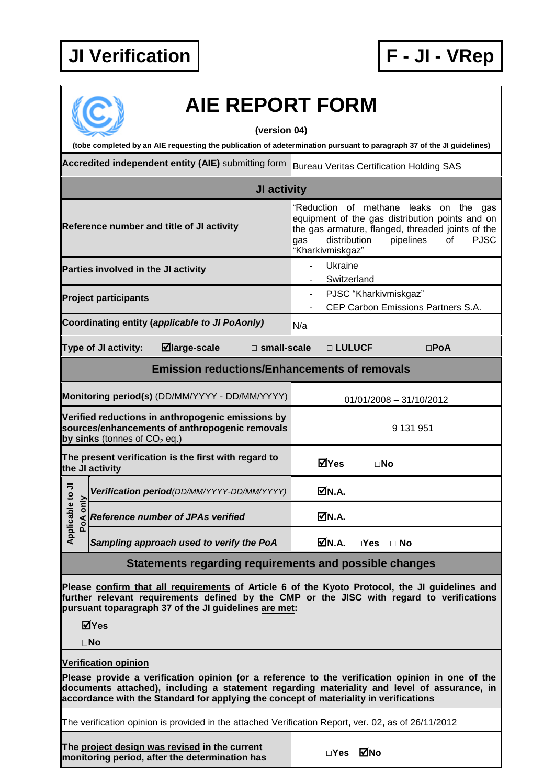## **JI Verification F - JI - VRep**



## **AIE REPORT FORM**

**(version 04)**

**(tobe completed by an AIE requesting the publication of adetermination pursuant to paragraph 37 of the JI guidelines)**

Accredited independent entity (AIE) submitting form Bureau Veritas Certification Holding SAS

| JI activity                                                                                                                                                                                                                                                                  |                                                                                                                                                                                                                             |  |  |  |
|------------------------------------------------------------------------------------------------------------------------------------------------------------------------------------------------------------------------------------------------------------------------------|-----------------------------------------------------------------------------------------------------------------------------------------------------------------------------------------------------------------------------|--|--|--|
| Reference number and title of JI activity                                                                                                                                                                                                                                    | "Reduction of methane leaks on the gas<br>equipment of the gas distribution points and on<br>the gas armature, flanged, threaded joints of the<br>pipelines<br><b>PJSC</b><br>distribution<br>of<br>gas<br>"Kharkivmiskgaz" |  |  |  |
| Parties involved in the JI activity                                                                                                                                                                                                                                          | Ukraine<br>Switzerland                                                                                                                                                                                                      |  |  |  |
| <b>Project participants</b>                                                                                                                                                                                                                                                  | PJSC "Kharkivmiskgaz"<br>CEP Carbon Emissions Partners S.A.                                                                                                                                                                 |  |  |  |
| Coordinating entity (applicable to JI PoAonly)<br>N/a                                                                                                                                                                                                                        |                                                                                                                                                                                                                             |  |  |  |
| $\blacksquare$ large-scale<br><b>Type of JI activity:</b><br>$\square$ small-scale                                                                                                                                                                                           | □ LULUCF<br>$\square$ PoA                                                                                                                                                                                                   |  |  |  |
| <b>Emission reductions/Enhancements of removals</b>                                                                                                                                                                                                                          |                                                                                                                                                                                                                             |  |  |  |
| Monitoring period(s) (DD/MM/YYYY - DD/MM/YYYY)                                                                                                                                                                                                                               | $01/01/2008 - 31/10/2012$                                                                                                                                                                                                   |  |  |  |
| Verified reductions in anthropogenic emissions by<br>sources/enhancements of anthropogenic removals<br>by sinks (tonnes of $CO2$ eq.)                                                                                                                                        | 9 131 951                                                                                                                                                                                                                   |  |  |  |
| The present verification is the first with regard to<br>⊠Yes<br>$\square$ No<br>the JI activity                                                                                                                                                                              |                                                                                                                                                                                                                             |  |  |  |
| Verification period(DD/MM/YYYY-DD/MM/YYYY)                                                                                                                                                                                                                                   | ØN.A.                                                                                                                                                                                                                       |  |  |  |
| Applicable to JI<br>PoA only<br>Reference number of JPAs verified                                                                                                                                                                                                            | ØN.A.                                                                                                                                                                                                                       |  |  |  |
| Sampling approach used to verify the PoA                                                                                                                                                                                                                                     | MN.A.<br>$\Box$ Yes $\Box$ No                                                                                                                                                                                               |  |  |  |
| Statements regarding requirements and possible changes                                                                                                                                                                                                                       |                                                                                                                                                                                                                             |  |  |  |
| Please confirm that all requirements of Article 6 of the Kyoto Protocol, the JI guidelines and<br>further relevant requirements defined by the CMP or the JISC with regard to verifications<br>pursuant toparagraph 37 of the JI guidelines are met:<br>⊠Yes<br>$\square$ No |                                                                                                                                                                                                                             |  |  |  |
| <b>Verification opinion</b>                                                                                                                                                                                                                                                  |                                                                                                                                                                                                                             |  |  |  |

**Please provide a verification opinion (or a reference to the verification opinion in one of the documents attached), including a statement regarding materiality and level of assurance, in accordance with the Standard for applying the concept of materiality in verifications**

The verification opinion is provided in the attached Verification Report, ver. 02, as of 26/11/2012

**The project design was revised in the current me project design was revised** in the current<br>**monitoring period, after the determination has** □ □